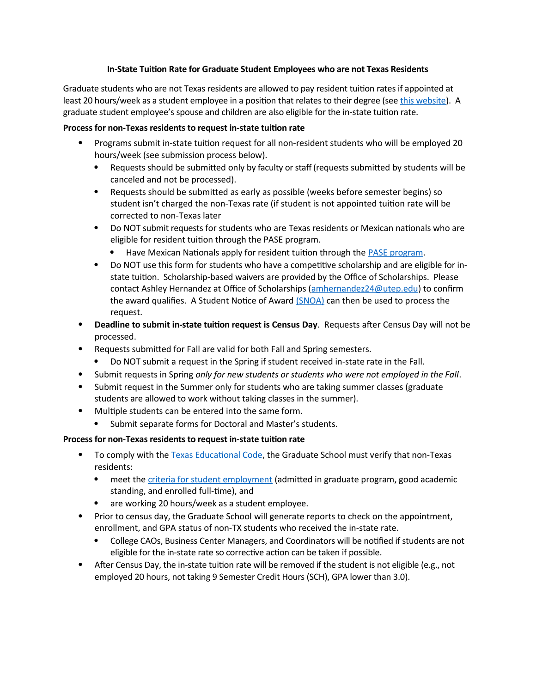## **In-State Tuition Rate for Graduate Student Employees who are not Texas Residents**

Graduate students who are not Texas residents are allowed to pay resident tuition rates if appointed at least 20 hours/week as a student employee in a position that relates to their degree (see [this website\)](https://texas.public.law/statutes/tex._educ._code_section_54.212). A graduate student employee's spouse and children are also eligible for the in-state tuition rate.

## **Process for non-Texas residents to request in-state tuition rate**

- Programs submit in-state tuition request for all non-resident students who will be employed 20 hours/week (see submission process below).
	- Requests should be submitted only by faculty or staff (requests submitted by students will be canceled and not be processed).
	- Requests should be submitted as early as possible (weeks before semester begins) so student isn't charged the non-Texas rate (if student is not appointed tuition rate will be corrected to non-Texas later
	- Do NOT submit requests for students who are Texas residents or Mexican nationals who are eligible for resident tuition through the PASE program.
		- Have Mexican Nationals apply for resident tuition through the **PASE** program.
	- Do NOT use this form for students who have a competitive scholarship and are eligible for instate tuition. Scholarship-based waivers are provided by the Office of Scholarships. Please contact Ashley Hernandez at Office of Scholarships ([amhernandez24@utep.edu\)](mailto:amhernandez24@utep.edu) to confirm the award qualifies. A Student Notice of Award [\(SNOA\)](https://my.utep.edu/My) can then be used to process the request.
- **Deadline to submit in-state tuition request is Census Day**. Requests after Census Day will not be processed.
- Requests submitted for Fall are valid for both Fall and Spring semesters.
	- Do NOT submit a request in the Spring if student received in-state rate in the Fall.
- Submit requests in Spring *only for new students or students who were not employed in the Fall*.
- Submit request in the Summer only for students who are taking summer classes (graduate students are allowed to work without taking classes in the summer).
- Multiple students can be entered into the same form.
	- Submit separate forms for Doctoral and Master's students.

## **Process for non-Texas residents to request in-state tuition rate**

- To comply with the [Texas Educational Code](https://texas.public.law/statutes/tex._educ._code_section_54.212), the Graduate School must verify that non-Texas residents:
	- meet the [criteria for student employment](https://www.utep.edu/human-resources/services/compensation/student-employment-guidelines.html) (admitted in graduate program, good academic standing, and enrolled full-time), and
	- are working 20 hours/week as a student employee.
- Prior to census day, the Graduate School will generate reports to check on the appointment, enrollment, and GPA status of non-TX students who received the in-state rate.
	- College CAOs, Business Center Managers, and Coordinators will be notified if students are not eligible for the in-state rate so corrective action can be taken if possible.
- After Census Day, the in-state tuition rate will be removed if the student is not eligible (e.g., not employed 20 hours, not taking 9 Semester Credit Hours (SCH), GPA lower than 3.0).